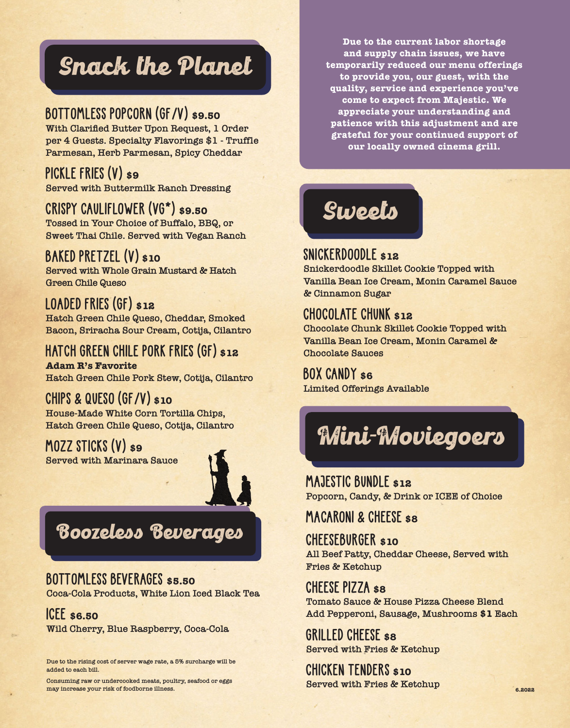# Snack the Planet

#### **BOTTOMLESS POPCORN (GF/V) \$9.50**

**With Clarified Butter Upon Request, 1 Order per 4 Guests. Specialty Flavorings \$1 - Truffle Parmesan, Herb Parmesan, Spicy Cheddar**

#### **PICKLE FRIES (V) \$9**

**Served with Buttermilk Ranch Dressing**

#### **CRISPY CAULIFLOWER (VG\*) \$9.50**

**Tossed in Your Choice of Buffalo, BBQ, or Sweet Thai Chile. Served with Vegan Ranch**

#### **BAKED PRETZEL (V) \$10**

**Served with Whole Grain Mustard & Hatch Green Chile Queso**

#### **LOADED FRIES (GF) \$12**

**Hatch Green Chile Queso, Cheddar, Smoked Bacon, Sriracha Sour Cream, Cotija, Cilantro**

#### **HATCH GREEN CHILE PORK FRIES (GF) \$12**

**Adam R's Favorite Hatch Green Chile Pork Stew, Cotija, Cilantro**

#### **CHIPS & QUESO (GF/V) \$10**

**House-Made White Corn Tortilla Chips, Hatch Green Chile Queso, Cotija, Cilantro**

#### **MOZZ STICKS (V) \$9**

**Served with Marinara Sauce**



## Boozeless Beverages

#### **BOTTOMLESS BEVERAGES \$5.50**

**Coca-Cola Products, White Lion Iced Black Tea**

#### **ICEE \$6.50**

**Wild Cherry, Blue Raspberry, Coca-Cola**

**Due to the rising cost of server wage rate, a 5% surcharge will be added to each bill.**

**Consuming raw or undercooked meats, poultry, seafood or eggs may increase your risk of foodborne illness.**

**Due to the current labor shortage and supply chain issues, we have temporarily reduced our menu offerings to provide you, our guest, with the quality, service and experience you've come to expect from Majestic. We appreciate your understanding and patience with this adjustment and are grateful for your continued support of our locally owned cinema grill.**



#### **SNICKERDOODLE \$12**

**Snickerdoodle Skillet Cookie Topped with Vanilla Bean Ice Cream, Monin Caramel Sauce & Cinnamon Sugar**

#### **CHOCOLATE CHUNK \$12**

**Chocolate Chunk Skillet Cookie Topped with Vanilla Bean Ice Cream, Monin Caramel & Chocolate Sauces**

**BOX CANDY \$6 Limited Offerings Available**



**MAJESTIC BUNDLE \$12 Popcorn, Candy, & Drink or ICEE of Choice**

#### **MACARONI & CHEESE \$8**

**CHEESEBURGER \$10 All Beef Patty, Cheddar Cheese, Served with Fries & Ketchup**

**CHEESE PIZZA \$8 Tomato Sauce & House Pizza Cheese Blend Add Pepperoni, Sausage, Mushrooms \$1 Each**

**GRILLED CHEESE \$8 Served with Fries & Ketchup**

**CHICKEN TENDERS \$10 Served with Fries & Ketchup**